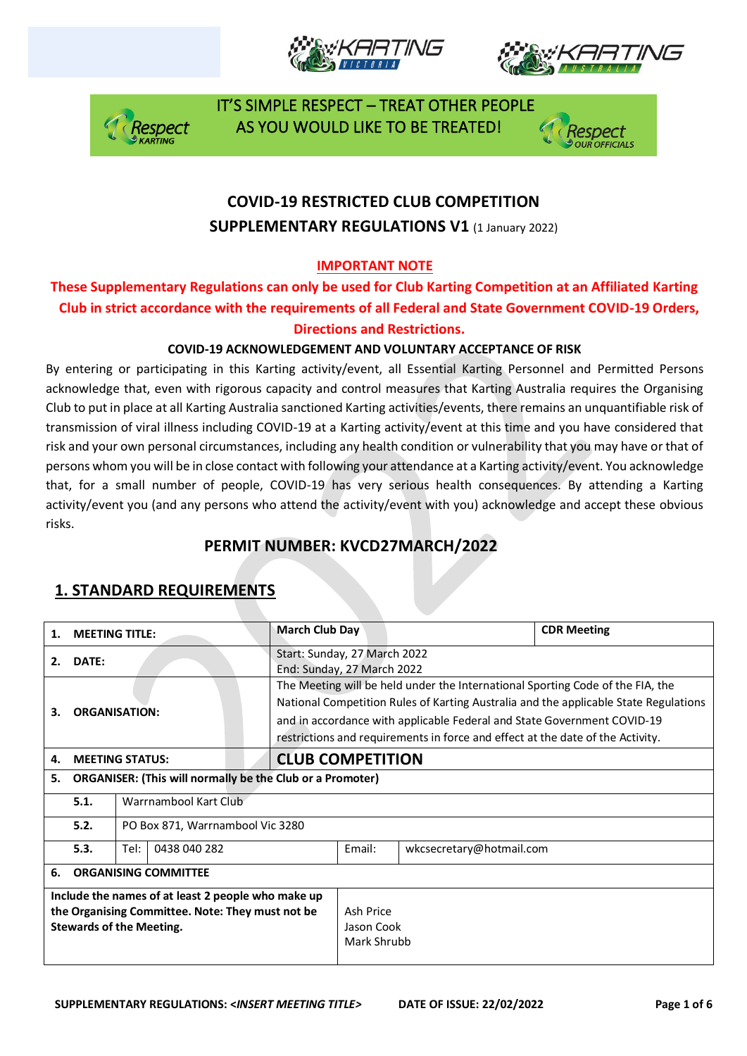







# **COVID-19 RESTRICTED CLUB COMPETITION SUPPLEMENTARY REGULATIONS V1 (1 January 2022)**

### **IMPORTANT NOTE**

### **These Supplementary Regulations can only be used for Club Karting Competition at an Affiliated Karting Club in strict accordance with the requirements of all Federal and State Government COVID-19 Orders, Directions and Restrictions.**

#### **COVID-19 ACKNOWLEDGEMENT AND VOLUNTARY ACCEPTANCE OF RISK**

By entering or participating in this Karting activity/event, all Essential Karting Personnel and Permitted Persons acknowledge that, even with rigorous capacity and control measures that Karting Australia requires the Organising Club to put in place at all Karting Australia sanctioned Karting activities/events, there remains an unquantifiable risk of transmission of viral illness including COVID-19 at a Karting activity/event at this time and you have considered that risk and your own personal circumstances, including any health condition or vulnerability that you may have or that of persons whom you will be in close contact with following your attendance at a Karting activity/event. You acknowledge that, for a small number of people, COVID-19 has very serious health consequences. By attending a Karting activity/event you (and any persons who attend the activity/event with you) acknowledge and accept these obvious risks.

# **PERMIT NUMBER: KVCD27MARCH/2022**

| 1.                                                                                                                                        | <b>MEETING TITLE:</b>                                            |                      | <b>March Club Day</b>                                                                                                                                                                                                                                                                                                               |        |                          | <b>CDR Meeting</b> |  |
|-------------------------------------------------------------------------------------------------------------------------------------------|------------------------------------------------------------------|----------------------|-------------------------------------------------------------------------------------------------------------------------------------------------------------------------------------------------------------------------------------------------------------------------------------------------------------------------------------|--------|--------------------------|--------------------|--|
| 2.                                                                                                                                        | DATE:                                                            |                      | Start: Sunday, 27 March 2022<br>End: Sunday, 27 March 2022                                                                                                                                                                                                                                                                          |        |                          |                    |  |
| 3.                                                                                                                                        | <b>ORGANISATION:</b>                                             |                      | The Meeting will be held under the International Sporting Code of the FIA, the<br>National Competition Rules of Karting Australia and the applicable State Regulations<br>and in accordance with applicable Federal and State Government COVID-19<br>restrictions and requirements in force and effect at the date of the Activity. |        |                          |                    |  |
| 4.                                                                                                                                        | <b>MEETING STATUS:</b>                                           |                      | <b>CLUB COMPETITION</b>                                                                                                                                                                                                                                                                                                             |        |                          |                    |  |
| 5.                                                                                                                                        | <b>ORGANISER: (This will normally be the Club or a Promoter)</b> |                      |                                                                                                                                                                                                                                                                                                                                     |        |                          |                    |  |
|                                                                                                                                           | Warrnambool Kart Club<br>5.1.                                    |                      |                                                                                                                                                                                                                                                                                                                                     |        |                          |                    |  |
|                                                                                                                                           | 5.2.<br>PO Box 871, Warrnambool Vic 3280                         |                      |                                                                                                                                                                                                                                                                                                                                     |        |                          |                    |  |
|                                                                                                                                           | 5.3.                                                             | Tel:<br>0438 040 282 |                                                                                                                                                                                                                                                                                                                                     | Fmail: | wkcsecretary@hotmail.com |                    |  |
| 6.                                                                                                                                        | <b>ORGANISING COMMITTEE</b>                                      |                      |                                                                                                                                                                                                                                                                                                                                     |        |                          |                    |  |
| Include the names of at least 2 people who make up<br>the Organising Committee. Note: They must not be<br><b>Stewards of the Meeting.</b> |                                                                  |                      | Ash Price<br>Jason Cook<br>Mark Shrubb                                                                                                                                                                                                                                                                                              |        |                          |                    |  |

# **1. STANDARD REQUIREMENTS**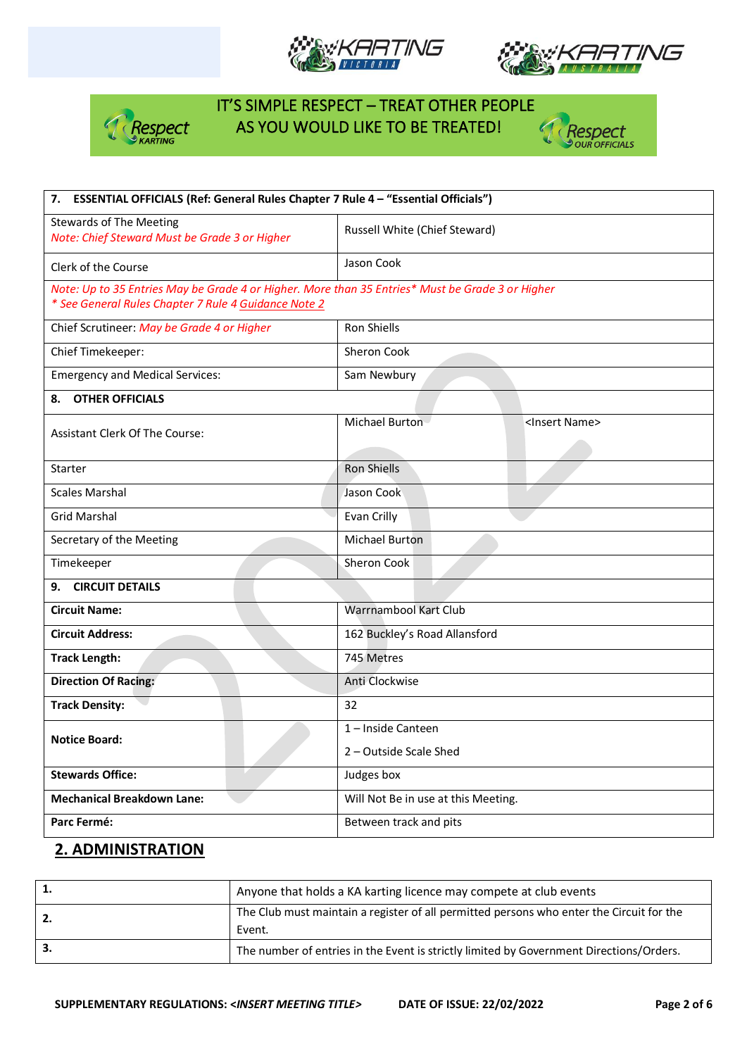







| ESSENTIAL OFFICIALS (Ref: General Rules Chapter 7 Rule 4 - "Essential Officials")<br>7.                                                                  |                                             |  |  |  |  |
|----------------------------------------------------------------------------------------------------------------------------------------------------------|---------------------------------------------|--|--|--|--|
| <b>Stewards of The Meeting</b><br>Note: Chief Steward Must be Grade 3 or Higher                                                                          | Russell White (Chief Steward)               |  |  |  |  |
| Clerk of the Course                                                                                                                                      | Jason Cook                                  |  |  |  |  |
| Note: Up to 35 Entries May be Grade 4 or Higher. More than 35 Entries* Must be Grade 3 or Higher<br>* See General Rules Chapter 7 Rule 4 Guidance Note 2 |                                             |  |  |  |  |
| Chief Scrutineer: May be Grade 4 or Higher                                                                                                               | <b>Ron Shiells</b>                          |  |  |  |  |
| Chief Timekeeper:                                                                                                                                        | Sheron Cook                                 |  |  |  |  |
| <b>Emergency and Medical Services:</b>                                                                                                                   | Sam Newbury                                 |  |  |  |  |
| <b>OTHER OFFICIALS</b><br>8.                                                                                                                             |                                             |  |  |  |  |
| <b>Assistant Clerk Of The Course:</b>                                                                                                                    | Michael Burton<br><insert name=""></insert> |  |  |  |  |
| Starter                                                                                                                                                  | <b>Ron Shiells</b>                          |  |  |  |  |
| <b>Scales Marshal</b>                                                                                                                                    | Jason Cook                                  |  |  |  |  |
| <b>Grid Marshal</b>                                                                                                                                      | Evan Crilly                                 |  |  |  |  |
| Secretary of the Meeting                                                                                                                                 | <b>Michael Burton</b>                       |  |  |  |  |
| Timekeeper                                                                                                                                               | Sheron Cook                                 |  |  |  |  |
| <b>CIRCUIT DETAILS</b><br>9.                                                                                                                             |                                             |  |  |  |  |
| <b>Circuit Name:</b>                                                                                                                                     | Warrnambool Kart Club                       |  |  |  |  |
| <b>Circuit Address:</b>                                                                                                                                  | 162 Buckley's Road Allansford               |  |  |  |  |
| <b>Track Length:</b>                                                                                                                                     | 745 Metres                                  |  |  |  |  |
| <b>Direction Of Racing:</b>                                                                                                                              | Anti Clockwise                              |  |  |  |  |
| <b>Track Density:</b>                                                                                                                                    | 32                                          |  |  |  |  |
| <b>Notice Board:</b>                                                                                                                                     | 1-Inside Canteen                            |  |  |  |  |
|                                                                                                                                                          | 2 - Outside Scale Shed                      |  |  |  |  |
| <b>Stewards Office:</b>                                                                                                                                  | Judges box                                  |  |  |  |  |
| <b>Mechanical Breakdown Lane:</b>                                                                                                                        | Will Not Be in use at this Meeting.         |  |  |  |  |
| Parc Fermé:                                                                                                                                              | Between track and pits                      |  |  |  |  |

### **2. ADMINISTRATION**

| Anyone that holds a KA karting licence may compete at club events                                  |  |  |  |  |
|----------------------------------------------------------------------------------------------------|--|--|--|--|
| The Club must maintain a register of all permitted persons who enter the Circuit for the<br>Event. |  |  |  |  |
| The number of entries in the Event is strictly limited by Government Directions/Orders.            |  |  |  |  |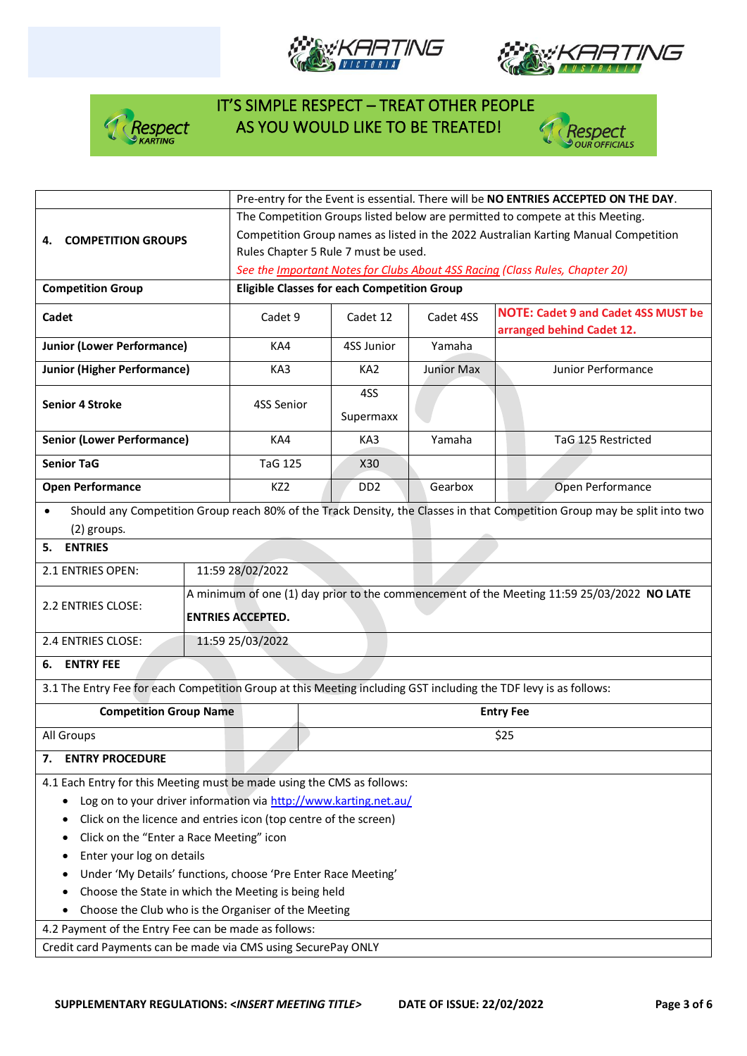







|                                                                                                                  |                          | Pre-entry for the Event is essential. There will be NO ENTRIES ACCEPTED ON THE DAY.        |            |                                                                                                                          |  |  |  |  |
|------------------------------------------------------------------------------------------------------------------|--------------------------|--------------------------------------------------------------------------------------------|------------|--------------------------------------------------------------------------------------------------------------------------|--|--|--|--|
|                                                                                                                  |                          | The Competition Groups listed below are permitted to compete at this Meeting.              |            |                                                                                                                          |  |  |  |  |
| <b>COMPETITION GROUPS</b>                                                                                        |                          | Competition Group names as listed in the 2022 Australian Karting Manual Competition        |            |                                                                                                                          |  |  |  |  |
|                                                                                                                  |                          | Rules Chapter 5 Rule 7 must be used.                                                       |            |                                                                                                                          |  |  |  |  |
|                                                                                                                  |                          |                                                                                            |            | See the Important Notes for Clubs About 4SS Racing (Class Rules, Chapter 20)                                             |  |  |  |  |
| <b>Competition Group</b>                                                                                         |                          | <b>Eligible Classes for each Competition Group</b>                                         |            |                                                                                                                          |  |  |  |  |
| Cadet                                                                                                            | Cadet 9                  | Cadet 12                                                                                   | Cadet 4SS  | <b>NOTE: Cadet 9 and Cadet 4SS MUST be</b><br>arranged behind Cadet 12.                                                  |  |  |  |  |
| <b>Junior (Lower Performance)</b>                                                                                | KA4                      | 4SS Junior                                                                                 | Yamaha     |                                                                                                                          |  |  |  |  |
| <b>Junior (Higher Performance)</b>                                                                               | KA3                      | KA <sub>2</sub>                                                                            | Junior Max | Junior Performance                                                                                                       |  |  |  |  |
| <b>Senior 4 Stroke</b>                                                                                           | 4SS Senior               | 4SS<br>Supermaxx                                                                           |            |                                                                                                                          |  |  |  |  |
| <b>Senior (Lower Performance)</b>                                                                                | KA4                      | KA3                                                                                        | Yamaha     | TaG 125 Restricted                                                                                                       |  |  |  |  |
| <b>Senior TaG</b>                                                                                                | <b>TaG 125</b>           | X30                                                                                        |            |                                                                                                                          |  |  |  |  |
| <b>Open Performance</b>                                                                                          | KZ <sub>2</sub>          | DD <sub>2</sub>                                                                            | Gearbox    | Open Performance                                                                                                         |  |  |  |  |
| (2) groups.                                                                                                      |                          |                                                                                            |            | Should any Competition Group reach 80% of the Track Density, the Classes in that Competition Group may be split into two |  |  |  |  |
| 5. ENTRIES                                                                                                       |                          |                                                                                            |            |                                                                                                                          |  |  |  |  |
| 2.1 ENTRIES OPEN:                                                                                                | 11:59 28/02/2022         |                                                                                            |            |                                                                                                                          |  |  |  |  |
| 2.2 ENTRIES CLOSE:                                                                                               | <b>ENTRIES ACCEPTED.</b> | A minimum of one (1) day prior to the commencement of the Meeting 11:59 25/03/2022 NO LATE |            |                                                                                                                          |  |  |  |  |
| 2.4 ENTRIES CLOSE:<br>11:59 25/03/2022                                                                           |                          |                                                                                            |            |                                                                                                                          |  |  |  |  |
| 6. ENTRY FEE                                                                                                     |                          |                                                                                            |            |                                                                                                                          |  |  |  |  |
| 3.1 The Entry Fee for each Competition Group at this Meeting including GST including the TDF levy is as follows: |                          |                                                                                            |            |                                                                                                                          |  |  |  |  |
| <b>Competition Group Name</b>                                                                                    |                          | <b>Entry Fee</b>                                                                           |            |                                                                                                                          |  |  |  |  |
| All Groups                                                                                                       |                          | \$25                                                                                       |            |                                                                                                                          |  |  |  |  |
| <b>ENTRY PROCEDURE</b><br>7.                                                                                     |                          |                                                                                            |            |                                                                                                                          |  |  |  |  |
| 4.1 Each Entry for this Meeting must be made using the CMS as follows:                                           |                          |                                                                                            |            |                                                                                                                          |  |  |  |  |
| Log on to your driver information via http://www.karting.net.au/                                                 |                          |                                                                                            |            |                                                                                                                          |  |  |  |  |
| Click on the licence and entries icon (top centre of the screen)<br>٠                                            |                          |                                                                                            |            |                                                                                                                          |  |  |  |  |
| Click on the "Enter a Race Meeting" icon                                                                         |                          |                                                                                            |            |                                                                                                                          |  |  |  |  |
| Enter your log on details                                                                                        |                          |                                                                                            |            |                                                                                                                          |  |  |  |  |
| Under 'My Details' functions, choose 'Pre Enter Race Meeting'                                                    |                          |                                                                                            |            |                                                                                                                          |  |  |  |  |
| Choose the State in which the Meeting is being held                                                              |                          |                                                                                            |            |                                                                                                                          |  |  |  |  |
| Choose the Club who is the Organiser of the Meeting                                                              |                          |                                                                                            |            |                                                                                                                          |  |  |  |  |
| 4.2 Payment of the Entry Fee can be made as follows:                                                             |                          |                                                                                            |            |                                                                                                                          |  |  |  |  |
| Credit card Payments can be made via CMS using SecurePay ONLY                                                    |                          |                                                                                            |            |                                                                                                                          |  |  |  |  |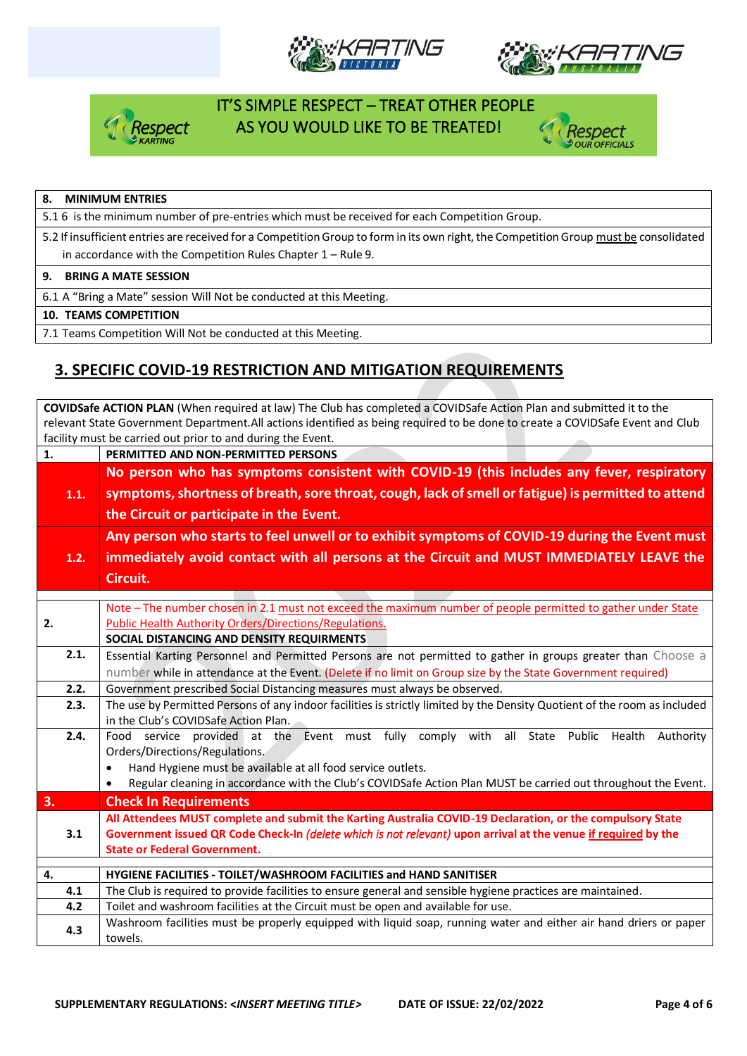







#### **8. MINIMUM ENTRIES**

5.1 6 is the minimum number of pre-entries which must be received for each Competition Group.

5.2 If insufficient entries are received for a Competition Group to form in its own right, the Competition Group must be consolidated in accordance with the Competition Rules Chapter 1 – Rule 9.

#### **9. BRING A MATE SESSION**

6.1 A "Bring a Mate" session Will Not be conducted at this Meeting.

#### **10. TEAMS COMPETITION**

7.1 Teams Competition Will Not be conducted at this Meeting.

## **3. SPECIFIC COVID-19 RESTRICTION AND MITIGATION REQUIREMENTS**

**COVIDSafe ACTION PLAN** (When required at law) The Club has completed a COVIDSafe Action Plan and submitted it to the relevant State Government Department.All actions identified as being required to be done to create a COVIDSafe Event and Club facility must be carried out prior to and during the Event. **1. PERMITTED AND NON-PERMITTED PERSONS 1.1. No person who has symptoms consistent with COVID-19 (this includes any fever, respiratory symptoms, shortness of breath, sore throat, cough, lack of smell or fatigue) is permitted to attend the Circuit or participate in the Event. 1.2. Any person who starts to feel unwell or to exhibit symptoms of COVID-19 during the Event must immediately avoid contact with all persons at the Circuit and MUST IMMEDIATELY LEAVE the Circuit. 2.** Note – The number chosen in 2.1 must not exceed the maximum number of people permitted to gather under State Public Health Authority Orders/Directions/Regulations. **SOCIAL DISTANCING AND DENSITY REQUIRMENTS 2.1.** Essential Karting Personnel and Permitted Persons are not permitted to gather in groups greater than Choose a number while in attendance at the Event. (Delete if no limit on Group size by the State Government required) **2.2.** Government prescribed Social Distancing measures must always be observed. **2.3.** The use by Permitted Persons of any indoor facilities is strictly limited by the Density Quotient of the room as included in the Club's COVIDSafe Action Plan. **2.4.** Food service provided at the Event must fully comply with all State Public Health Authority Orders/Directions/Regulations. • Hand Hygiene must be available at all food service outlets. • Regular cleaning in accordance with the Club's COVIDSafe Action Plan MUST be carried out throughout the Event. **3. Check In Requirements 3.1 All Attendees MUST complete and submit the Karting Australia COVID-19 Declaration, or the compulsory State Government issued QR Code Check-In** *(delete which is not relevant)* **upon arrival at the venue if required by the State or Federal Government. 4. HYGIENE FACILITIES - TOILET/WASHROOM FACILITIES and HAND SANITISER 4.1** The Club is required to provide facilities to ensure general and sensible hygiene practices are maintained. **4.2** Toilet and washroom facilities at the Circuit must be open and available for use. **4.3** Washroom facilities must be properly equipped with liquid soap, running water and either air hand driers or paper towels.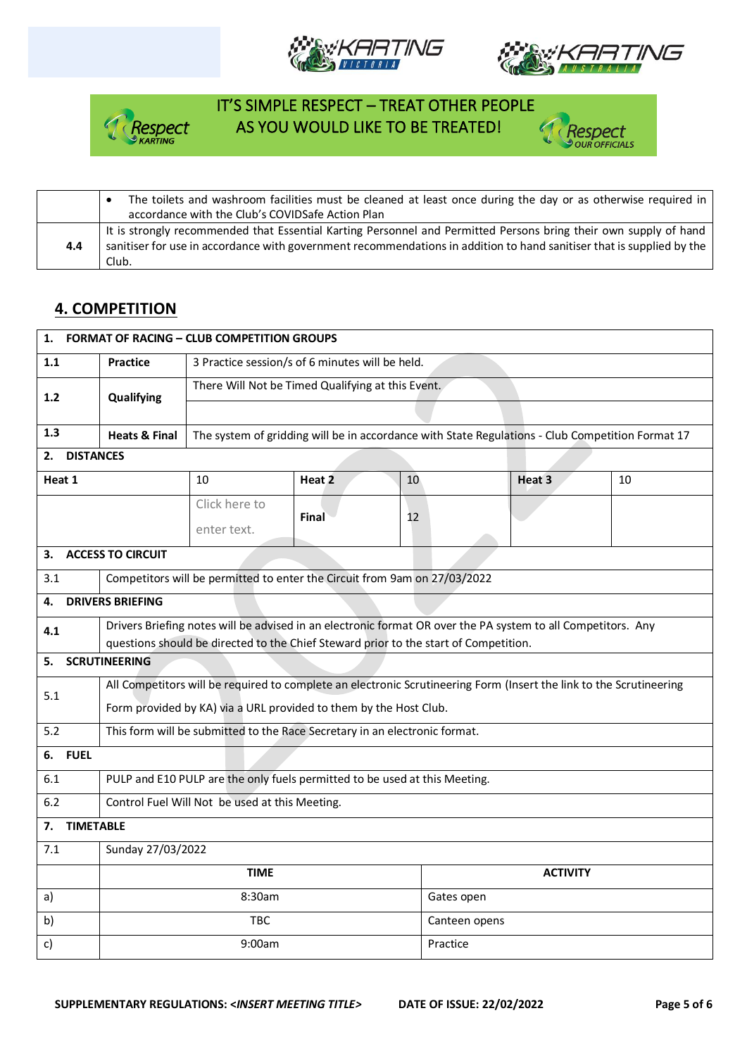







|     | The toilets and washroom facilities must be cleaned at least once during the day or as otherwise required in<br>accordance with the Club's COVIDSafe Action Plan                                                                                   |
|-----|----------------------------------------------------------------------------------------------------------------------------------------------------------------------------------------------------------------------------------------------------|
| 4.4 | It is strongly recommended that Essential Karting Personnel and Permitted Persons bring their own supply of hand<br>sanitiser for use in accordance with government recommendations in addition to hand sanitiser that is supplied by the<br>Club. |

## **4. COMPETITION**

| <b>FORMAT OF RACING - CLUB COMPETITION GROUPS</b><br>1. |                                                                                                                     |                                                                                                              |        |    |               |                   |                                                                                                  |
|---------------------------------------------------------|---------------------------------------------------------------------------------------------------------------------|--------------------------------------------------------------------------------------------------------------|--------|----|---------------|-------------------|--------------------------------------------------------------------------------------------------|
| 1.1                                                     | <b>Practice</b>                                                                                                     | 3 Practice session/s of 6 minutes will be held.                                                              |        |    |               |                   |                                                                                                  |
| 1.2                                                     | Qualifying                                                                                                          | There Will Not be Timed Qualifying at this Event.                                                            |        |    |               |                   |                                                                                                  |
|                                                         |                                                                                                                     |                                                                                                              |        |    |               |                   |                                                                                                  |
| 1.3                                                     | <b>Heats &amp; Final</b>                                                                                            |                                                                                                              |        |    |               |                   | The system of gridding will be in accordance with State Regulations - Club Competition Format 17 |
| <b>DISTANCES</b><br>2.                                  |                                                                                                                     |                                                                                                              |        |    |               |                   |                                                                                                  |
| Heat 1                                                  |                                                                                                                     | 10                                                                                                           | Heat 2 | 10 |               | Heat <sub>3</sub> | 10                                                                                               |
|                                                         |                                                                                                                     | Click here to                                                                                                |        |    |               |                   |                                                                                                  |
|                                                         |                                                                                                                     | enter text.                                                                                                  | Final  | 12 |               |                   |                                                                                                  |
| З.                                                      | <b>ACCESS TO CIRCUIT</b>                                                                                            |                                                                                                              |        |    |               |                   |                                                                                                  |
| 3.1                                                     |                                                                                                                     | Competitors will be permitted to enter the Circuit from 9am on 27/03/2022                                    |        |    |               |                   |                                                                                                  |
| 4.                                                      | <b>DRIVERS BRIEFING</b>                                                                                             |                                                                                                              |        |    |               |                   |                                                                                                  |
| 4.1                                                     |                                                                                                                     | Drivers Briefing notes will be advised in an electronic format OR over the PA system to all Competitors. Any |        |    |               |                   |                                                                                                  |
|                                                         | questions should be directed to the Chief Steward prior to the start of Competition.<br><b>SCRUTINEERING</b>        |                                                                                                              |        |    |               |                   |                                                                                                  |
| 5.                                                      |                                                                                                                     |                                                                                                              |        |    |               |                   |                                                                                                  |
| 5.1                                                     | All Competitors will be required to complete an electronic Scrutineering Form (Insert the link to the Scrutineering |                                                                                                              |        |    |               |                   |                                                                                                  |
|                                                         | Form provided by KA) via a URL provided to them by the Host Club.                                                   |                                                                                                              |        |    |               |                   |                                                                                                  |
| 5.2                                                     | This form will be submitted to the Race Secretary in an electronic format.                                          |                                                                                                              |        |    |               |                   |                                                                                                  |
| 6.                                                      | <b>FUEL</b>                                                                                                         |                                                                                                              |        |    |               |                   |                                                                                                  |
| 6.1                                                     | PULP and E10 PULP are the only fuels permitted to be used at this Meeting.                                          |                                                                                                              |        |    |               |                   |                                                                                                  |
| 6.2                                                     | Control Fuel Will Not be used at this Meeting.                                                                      |                                                                                                              |        |    |               |                   |                                                                                                  |
| <b>TIMETABLE</b><br>7.                                  |                                                                                                                     |                                                                                                              |        |    |               |                   |                                                                                                  |
| 7.1                                                     | Sunday 27/03/2022                                                                                                   |                                                                                                              |        |    |               |                   |                                                                                                  |
|                                                         | <b>TIME</b><br><b>ACTIVITY</b>                                                                                      |                                                                                                              |        |    |               |                   |                                                                                                  |
| a)                                                      |                                                                                                                     | 8:30am                                                                                                       |        |    | Gates open    |                   |                                                                                                  |
| b)                                                      |                                                                                                                     | <b>TBC</b>                                                                                                   |        |    | Canteen opens |                   |                                                                                                  |
| c)                                                      |                                                                                                                     | 9:00am                                                                                                       |        |    | Practice      |                   |                                                                                                  |